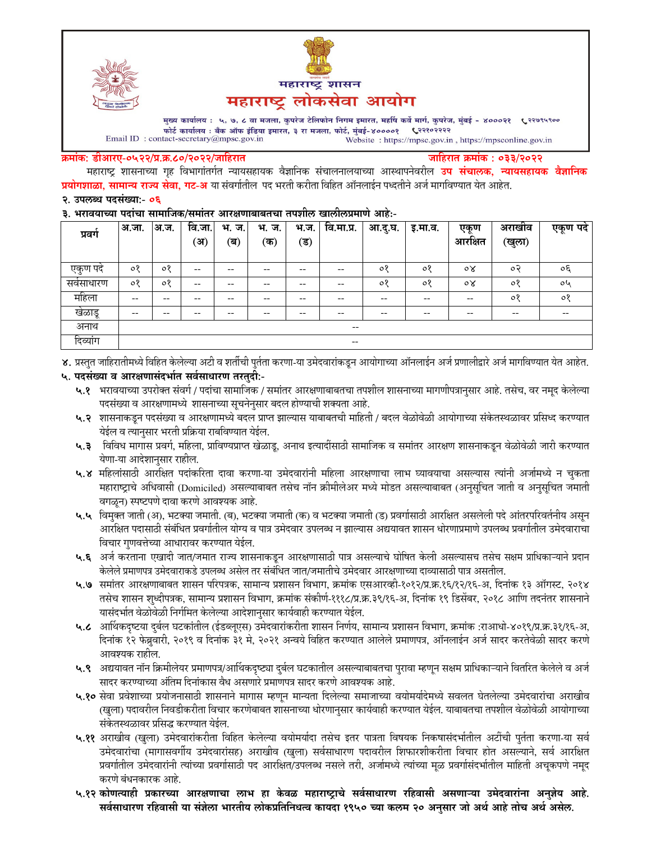



मुख्य कार्यालय : ५, ७, ८ वा मजला, कुपरेज टेलिफोन निगम इमारत, महर्षि कर्वे मार्ग, कुपरेज, मुंबई - ४०००२१ ९२९९९९०० फोर्ट कार्यालय : बँक ऑफ इंडिया इमारत, ३ रा मजला, फोर्ट, मुंबई-४००००१ ९२११०२२२२ Email ID: contact-secretary@mpsc.gov.in Website: https://mpsc.gov.in, https://mpsconline.gov.in

#### क्रमांक: डीआरए-०५२२/प्र.क्र.८०/२०२२/जाहिरात

जाहिरात क्रमांक : ०३३/२०२२

महाराष्ट्र शासनाच्या गृह विभागांतर्गत न्यायसहायक वैज्ञानिक संचालनालयाच्या आस्थापनेवरील **उप संचालक, न्यायसहायक वैज्ञानिक प्रयोगशाळा, सामान्य राज्य सेवा, गट-अ** या संवर्गातील पद भरती करीता विहित ऑनलाईन पध्दतीने अर्ज मार्गावण्यात येत आहेत.

#### २. उपलब्ध पदसंख्या:- ०६

#### ३. भरावयाच्या पदांचा सामाजिक/समांतर आरक्षणाबाबतचा तपशील खालीलप्रमाणे आहे:-

| प्रवग                                                 | अ.जा.               | अ.ज.    | वि.<br>ंजा.<br>ॅअ` | भ.<br>ज.<br>(ब) | भ.<br>ज.<br>(क) | भ.ज.<br>′ड) | वि.मा.प्र. | आ.दु.घ. | इ.मा.व. | एकण<br>आरक्षित | अराखीव<br>(खुला) | एकूण पदे                 |
|-------------------------------------------------------|---------------------|---------|--------------------|-----------------|-----------------|-------------|------------|---------|---------|----------------|------------------|--------------------------|
|                                                       |                     |         |                    |                 |                 |             |            |         |         |                |                  |                          |
| एकुण पदं                                              | $\circ$             | $\circ$ | --                 | $- -$           | --              | --          | $- -$      | ०१      | $\circ$ | $\circ \times$ | $\circ$          | oξ                       |
| सवसाधारण                                              | $\circ$             | $\circ$ | --                 | $- -$           | $- -$           | --          | $- -$      | ०१      | ०१      | $\circ \times$ | ०१               | oh                       |
| महिला                                                 | --                  | $- -$   | --                 | $- -$           | $- -$           | --          | $- -$      | $- -$   | $- -$   | --             | ०१               | $\circ$                  |
| खेळाडू                                                | --                  | $- -$   | --                 | --              | --              | --          | $- -$      | $- -$   | $- -$   | --             | $- -$            | $\overline{\phantom{m}}$ |
| अनाथ                                                  | $\hspace{0.05cm} -$ |         |                    |                 |                 |             |            |         |         |                |                  |                          |
| $\overline{ }$<br>$\overline{\phantom{a}}$<br>दिव्याग |                     |         |                    |                 |                 |             | $- -$      |         |         |                |                  |                          |

४. प्रस्तुत जाहिरातीमध्ये विहित केलेल्या अटी व शर्तीची पुर्तता करणा-या उमेदवारांकडून आयोगाच्या ऑनलाईन अर्ज प्रणालीद्वारे अर्ज मार्गावण्यात येत आहेत.

### ५. पदसंख्या व आरक्षणासंदर्भात सर्वसाधारण तरतुदी:-

- ५.१ भरावयाच्या उपरोक्त संवर्ग / पदांचा सामाजिक / समांतर आरक्षणाबाबतचा तपशील शासनाच्या मागणीपत्रानुसार आहे. तसेच, वर नमूद केलेल्या पदसंख्या व आरक्षणामध्ये शासनाच्या सूचनेनुसार बदल होण्याची शक्यता आहे.
- ५.२ शासनाकडून पदसंख्या व आरक्षणामध्ये बदल प्राप्त झाल्यास याबाबतची माहिती / बदल वेळोवेळी आयोगाच्या संकेतस्थळावर प्रसिध्द करण्यात येईल व त्यानुसार भरती प्रक्रिया राबविण्यात येईल.
- ५.३ विविध मागास प्रवर्ग, महिला, प्राविण्यप्राप्त खेळाडू, अनाथ इत्यादींसाठी सामाजिक व समांतर आरक्षण शासनाकडून वेळोवेळी जारी करण्यात येणा-या आदेशानुसार राहील.
- ५.४ महिलांसाठी आरक्षित पदांकरिता दावा करणा-या उमेदवारांनी महिला आरक्षणाचा लाभ घ्यावयाचा असल्यास त्यांनी अर्जामध्ये न चुकता महाराष्ट्राचे अधिवासी (Domiciled) असल्याबाबत तसेच नॉन क्रीमीलेअर मध्ये मोडत असल्याबाबत (अनुसूचित जाती व अनुसूचित जमाती वगळून) स्पष्टपणे दावा करणे आवश्यक आहे.
- ५.५ विमुक्त जाती (अ), भटक्या जमाती. (ब), भटक्या जमाती (क) व भटक्या जमाती (ड) प्रवर्गासाठी आरक्षित असलेली पदे आंतरपरिवर्तनीय असुन आरक्षित पदासाठी संबंधित प्रवर्गातील योग्य व पात्र उमेदवार उपलब्ध न झाल्यास अद्ययावत शासन धोरणाप्रमाणे उपलब्ध प्रवर्गातील उमेदवाराचा विचार गुणवत्तेच्या आधारावर करण्यात येईल.
- ५.६ अर्ज करताना एखादी जात/जमात राज्य शासनाकडून आरक्षणासाठी पात्र असल्याचे घोषित केली असल्यासच तसेच सक्षम प्राधिकाऱ्याने प्रदान केलेले प्रमाणपत्र उमेदवाराकडे उपलब्ध असेल तर संबंधित जात/जमातीचे उमेदवार आरक्षणाच्या दाव्यासाठी पात्र असतील.
- ५.७ समांतर आरक्षणाबाबत शासन परिपत्रक, सामान्य प्रशासन विभाग, क्रमांक एसआरव्ही-१०१२/प्र.क्र.१६/१२/१६-अ, दिनांक १३ ऑगस्ट, २०१४ तसेच शासन शृध्दीपत्रक, सामान्य प्रशासन विभाग, क्रमांक संकीर्ण-१११८/प्र.क्र.३९/१६-अ, दिनांक १९ डिसेंबर, २०१८ आणि तदनंतर शासनाने यासंदर्भात वेळोवेळी निर्गमित केलेल्या आदेशानुसार कार्यवाही करण्यात येईल.
- ५.८ आर्थिकदृष्टया दुर्बल घटकांतील (ईडब्लूएस) उमेदवारांकरीता शासन निर्णय, सामान्य प्रशासन विभाग, क्रमांक :राआधो-४०१९/प्र.क्र.३१/१६-अ, दिनांक १२ फेब्रुवारी, २०१९ व दिनांक ३१ मे, २०२१ अन्वये विहित करण्यात आलेले प्रमाणपत्र, ऑनलाईन अर्ज सादर करतेवेळी सादर करणे आवश्यक राहील.
- ५.९ अद्ययावत नॉन क्रिमीलेयर प्रमाणपत्र/आर्थिकदृष्ट्या दुर्बल घटकातील असल्याबाबतचा पुरावा म्हणून सक्षम प्राधिकाऱ्याने वितरित केलेले व अर्ज सादर करण्याच्या अंतिम दिनांकास वैध असणारे प्रमाणपत्र सादर करणे आवश्यक आहे.
- ५.१० सेवा प्रवेशाच्या प्रयोजनासाठी शासनाने मागास म्हणून मान्यता दिलेल्या समाजाच्या वयोमर्यादेमध्ये सवलत घेतलेल्या उमेदवारांचा अराखीव (खुला) पदावरील निवडीकरीता विचार करणेबाबत शासनाच्या धोरणानुसार कार्यवाही करण्यात येईल. याबाबतचा तपशील वेळोवेळी आयोगाच्या संकेतस्थळावर प्रसिद्ध करण्यात येईल.
- ५.११ अराखीव (खुला) उमेदवारांकरीता विहित केलेल्या वयोमर्यादा तसेच इतर पात्रता विषयक निकषासंदर्भातील अटींची पुर्तता करणा-या सर्व उमेदवारांचा (मागासवर्गीय उमेदवारांसह) अराखीव (खुला) सर्वसाधारण पदावरील शिफारशीकरीता विचार होत असल्याने, सर्व आरक्षित प्रवर्गातील उमेदवारांनी त्यांच्या प्रवर्गासाठी पद आरक्षित/उपलब्ध नसले तरी, अर्जामध्ये त्यांच्या मूळ प्रवर्गासंदर्भातील माहिती अचूकपणे नमूद करणे बंधनकारक आहे.
- ५.१२ कोणत्याही प्रकारच्या आरक्षणाचा लाभ हा केवळ महाराष्ट्राचे सर्वसाधारण रहिवासी असणाऱ्या उमेदवारांना अनुज्ञेय आहे. सर्वसाधारण रहिवासी या संज्ञेला भारतीय लोकप्रतिनिधत्व कायदा १९५० च्या कलम २० अनुसार जो अर्थ आहे तोच अर्थ असेल.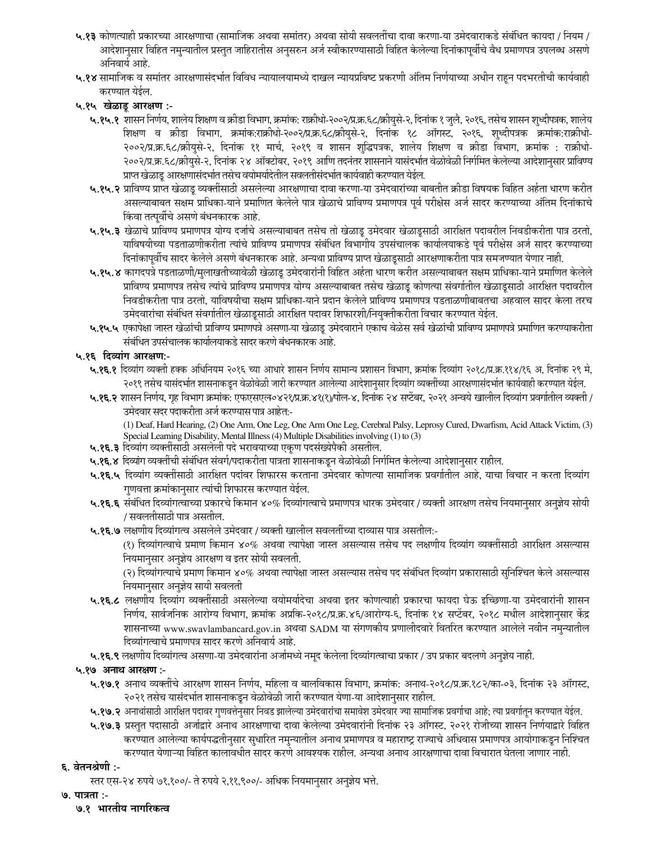- **५.१३** कोणत्याहो प्रकारच्या आरक्षणाचा (सामाजिक अथवा समातर) अथवा सोयो सवलतोचा दावा करणा-या उमंदवाराकडे सर्बाधत कायदा / नियम / आदेशानुसार विहित नमुन्यातील प्रस्तुत जाहिरातीस अनुसरुन अर्ज स्वोकारण्यासाठी विहित केलेल्या दिनाकापूर्वाचे वैध प्रमाणपत्र उपलब्ध असणे ओनवार्य आहे.
- **५.१४** सामाजिक व समातर आरक्षणासदर्भात विविध न्यायालयामध्ये दाखल न्यायप्रविष्ट प्रकरणी अतिम निर्णयाच्या अधीन राहून पदभरतीची कार्यवाही करण्यात येईल.

## ५.१५ खेळाडू आरक्षण :-

- **५.१५.१** शासन निर्णय, शालेय शिक्षण व क्रोडा विभाग, क्रमाक: राक्रोधो-२००२/प्र.क्र.६८/क्रायुसे-२, दिनाक १ जुलै, २०१६, तसेच शासन शुध्दोपत्रक, शालेय शिक्षण व क्रोडा विभाग, क्रमाक:राक्रोधो-२००२/प्र.क्र.६८/क्रोयुसे-२, दिनाक १८ आगस्ट, २०१६, शुध्दोपत्रक क्रमाक:राक्रोधो-२००२/प्र.क्र.६८/क्रायुसे-२, दिनाक ११ माचे, २०१९ व शासन शुद्धिपत्रक, शालेय शिक्षण व क्रोडा विभाग, क्रमाक : राक्रोधो-२००२/प्र.क्र.६८/क्रोयुसे-२, दिनाक २४ आंक्टोबर, २०१९ आणि तदनतर शासनाने यासदभौत वेळविळी निर्गीमत केलेल्या आदेशानुसार प्राविण्य प्राप्त खेळाडू आरक्षणासदर्भात तसेच वर्यामयदितील सवलतीसदर्भांत कार्यवाही करण्यात येईल.
- **५.१५.२** प्राविण्य प्राप्त खेळाडू व्यक्तोसाठी असलेल्या आरक्षणाचा दावा करणा-या उमदवाराच्या बाबतोत क्रांडा करात धारण करोत असल्याबाबत सक्षम प्राधिका-याने प्रमाणित केलेले पात्र खेळाचे प्राविण्य प्रमाणपत्र पूर्व परोक्षेस अजे सादर करण्याच्या ओतम दिनाकाचे किंवा तत्पूर्वीचे असणे बंधनकारक आहे.
- **५.१५.३** खेळाचे प्राविण्य प्रमाणपत्र योग्य दर्जाचे असल्याबाबत तसेच तो खेळाडू उमेदवार खेळाडूसाठी आरोक्षत पदावरोल निवडोकरोता पात्र ठरतो, याविषयोच्या पडताळणोकरोता त्याचे प्राविण्य प्रमाणपत्र सर्बांधत विभागोय उपसचालक कार्यालयाकडे पूर्व परक्षिस अर्ज सादर करण्याच्या दिनाकापूर्वाच सादर केलेले असणे बधनकारक आहे. अन्यथा प्राविण्य प्राप्त खेळाडूसाठी आरक्षणाकरीता पात्र समजण्यात येणार नाहो.
- **५.१५.४** कागदपत्रे पडताळणी/मुलाखतोच्यावेळी खेळाडू उमेदवारानो विहित अहेता धारण करोत असल्याबाबत सक्षम प्राधिका-याने प्रमाणित केलेले प्राविण्य प्रमाणपत्र तसेच त्याचे प्राविण्य प्रमाणपत्र योग्य असल्याबाल तसेच खेळाडू कोणत्या सवगोतील खेळाडूसाठी आरोक्षत पदावरोल निवडोकरीता पात्र ठरतो, याविषयोचा सक्षम प्राधिका-याने प्रदान केलेले प्राविण्य प्रमाणपत्र पडताळणोबाबतचा अहवाल सादर केला तरच उमेदवाराचा सर्बाधत सवगोतील खेळाडूसाठी आरक्षित पदावर शिफारशो/नियुक्तोकरीता विचार करण्यात येईल.
- **५.१५.५** एकापेक्षा जास्त खेळाची प्राविण्य प्रमाणपत्रे असणा-या खेळाडू उमेदवाराने एकाच वेळेस सर्वे खेळाची प्राविण्य प्रमाणपत्रे प्रमाणित करण्याकरोता सर्बांधेत उपसचालक कार्यालयाकडे सादर करणे बंधनकारक आहे.

### ५.१६ दिव्याग आरक्षण:-

- **५.१६.१** दिव्याग व्यक्तो हक्क अधिनियम २०१६ च्या आधारे शासन निर्णय सामान्य प्रशासन विभाग, क्रमाक २९८/प्र.क्र.११४/१६ अ, दिनाक २९ मे, २०१९ तसच यासदभात शासनाकडून वळावळा जारा करण्यात आलल्या आदश्मा व्यव्याग व्यक्ताच्या आरक्षणासदभात कायवाहा करण्यात यइल.
- **५.१६.२** शासन निर्णय, गृह विभाग क्रमाक: एफएसएल॰४२१/प्र.क्र.४१(१)/पोल-४, दिनाक २४ सप्टेंबर, २०२१ अन्वयं खालोल दिव्याग प्रवर्गातोल व्यक्तो / उमेदवार सदर पदाकरीता अर्ज करण्यास पात्र आहेत:-

(1) Deaf, Hard Hearing, (2) One Arm, One Leg, One Arm One Leg, Cerebral Palsy, Leprosy Cured, Dwarfism, Acid Attack Victim, (3) Special Learning Disability, Mental Illness (4) Multiple Disabilities involving (1) to (3)

- **५.१६.३** दिव्यांग व्यक्तींसाठी असलेली पदे भरावयाच्या एकूण पदसंख्येपैकी असतील.
- **५.१६.४** दिव्याग व्यक्तोची सर्बोधत सवर्ग/पदाकरोता पात्रता शासनाकडून वेळविळी निर्गीमत केलेल्या आदेशानुसार राहोल.
- **५.१६.५** दिव्याग व्यक्तांसाठी आरक्षित पदावर शिफारस करताना उमंदवार कांणत्या सामाजिक प्रवर्गातोल आहे, याचा विचार न करता दिव्याग गुणवत्ता क्रमाकानुसार त्याची शिफारस करण्यात येईल.
- **५.१६.६** सर्बाधत दिव्यागत्वाच्या प्रकारचे किमान ४०% दिव्यागत्वाचे प्रमाणपत्र धारक उमेदवार / व्यक्तो आरक्षण तसेच नियमानुसार अनुज्ञेय सोयो / सवलतीसाठी पात्र असतील.
- **५.१६.७** लक्षणीय दिव्यागत्व असलेले उमेदवार / व्यक्ती खालील सवलतीच्या दाव्यास पात्र असतील:-

(१) दिव्यागत्वाचे प्रमाण किमान ४०% अथवा त्यापेक्षा जास्त असल्यास तसेच पद लक्षणांय दिव्याग व्यक्तोसाठो आरोक्षित असल्यास नियमानुसार अनुज्ञेय आरक्षण व इतर सोयी सवलती.

(२) दिव्यागत्याचे प्रमाण किमान ४०% अथवा त्यापेक्षा जास्त असल्यास तसेच पद सर्बाधत दिव्याग प्रकारासाठी सुनिश्चित केले असल्यास नियमानुसार अनुज्ञेय सायी सवलती

- **५.१६.८** लक्षणोय दिव्याग व्यक्तांसाठी असलेल्या वर्यामयोर्दचा अथवा इतर कोणत्याहो प्रकारचा फायदा घेऊ इच्छिणा-या उमंदवारानां शासन निर्णय, सार्वजनिक आरोग्य विभाग, क्रमाक अप्रोक-२०१८/प्र.क्र.४६/आरोग्य-६, दिनाक १४ सप्टेंबर, २०१८ मधील आदेशानुसार केंद्र शासनाच्या www.swavlambancard.gov.in अथवा SADM या सगणकोय प्रणालोदवारे वितोरंत करण्यात आलेले नवोन नमुन्यातील दिव्यागत्वाचे प्रमाणपत्र सादर करणे ओनवार्य आहे.
- **५.१६.९** लक्षणीय दिव्यागत्व असणा-या उमेदवाराना अजामध्ये नमूद केलेला दिव्यागत्वाचा प्रकार / उप प्रकार बदलणे अनुज्ञेय नाहो.

### ५.१७ अनाथ आरक्षण :-

- **५.१७.१** अनाथ व्यक्तोचे आरक्षण शासन निर्णय, मोहला व बालोवकास विभाग, क्रमाक: अनाथ-२०१८/प्र.क्र.१८२/का-०३, दिनाक २३ आगस्ट, २०२१ तसेच यासदर्भात शासनाकडून वेळविळी जारी करण्यात येणा-या आदेशानुसार राहोल.
- **५.१७.२** अनाथांसाठी आरक्षित पदावर गुणवत्तेनुसार निवड झालेल्या उमेदवारामाचिक ज्या सामाजिक प्रवर्गाचा आहे; त्या प्रवर्गातून करण्यात येइल.
- **५.१७.३** प्रस्तुत पदासाठी अजोद्वारे अनाथ आरक्षणाचा दावा केलेल्या उमेदवारानां दिनाक २३ आगस्ट, २०२१ राजांच्या शासन निर्णयाद्वारे विहित करण्यात आलेल्या कार्यपद्धतोनुसार सुधारित नमुन्यातील अनाथ प्रमाणपत्र व महाराष्ट्र राज्याचे अधिवास प्रमाणपत्र आयोगाकडून निश्चित करण्यात येणाऱ्या विहित कालावर्धात सादर करणे आवश्यक राहोल. अन्यथा अनाथ आरक्षणाचा दावा विचारात घेतला जाणार नाहो.

### **६. वेतनश्रेणी :-**

स्तर एस-२४ रुपये ७१,१००/- ते रुपये २,११,९००/- अधिक नियमानुसार अनुज्ञेय भत्ते.

- **9. पात्रता:-**
	- <u>७.१ भारतीय नागरिकत्व</u>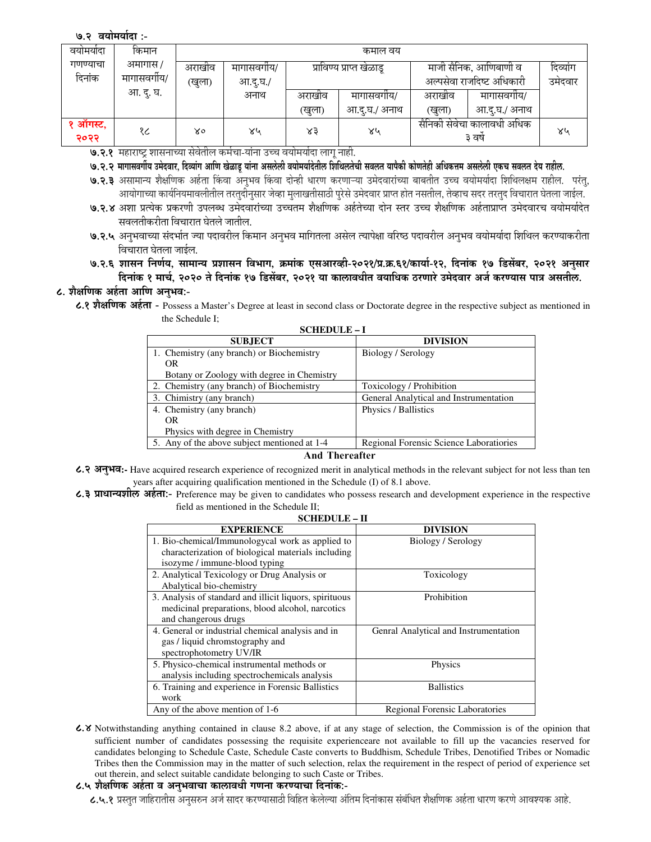#### ७.२ वयोमयोदा :-

| वयामयादा | किमान        | कमाल वय |            |        |                          |                            |               |         |  |
|----------|--------------|---------|------------|--------|--------------------------|----------------------------|---------------|---------|--|
| गणण्याचा | अमागास /     | अराखीव  | मागासवगोय/ |        | प्राविण्य प्राप्त खेळाडू | माजी सैनिक, आणिबाणी व      | दिव्याग       |         |  |
| दिनांक   | मागासवर्गीय/ | खुला)   | आ.दू.घ./   |        |                          | अल्पसेवा राजदिष्ट अधिकारी  |               | उमंदवार |  |
|          | आ. दु. घ.    |         | अनाथ       | अराखीव | मागासवगीय/               | अराखीव                     | मागासवगीय/    |         |  |
|          |              |         |            | (खुला) | आ.दु.घ./ अनाथ            | (खुला)                     | आ.दु.घ./ अनाथ |         |  |
| १ ऑगस्ट, | १८           | X٥      | ४५         | ४३     | ४५                       | सैनिको सेवेचा कालावधी अधिक |               | ४५      |  |
| २०२२     |              |         |            |        |                          | ३ वर्ष                     |               |         |  |

**७.२.१** महाराष्ट्र शासनाच्या सेवेतील कर्मचा-याना उच्च वर्यामयोदा लागू नाही.

'9.२.२ मागासवगीय उमेदवार, दिव्याग आणि खेळाडू याना असलेली वर्यांमयांदेतील शिशिलतेची सबलत योर्की कोणतेही अधिकत्तम असलेली एकच सवलत देय राहील.

**७.२.३** असामान्य शैक्षोणक अहेता किंवा अनुभव किंवा दोन्हो धारण करणाऱ्या उमेदवाराच्या बाबतीत उच्च वर्यामयोदा शिथिलक्षम राहोल. परतु, आयोगाच्या कार्यानयमावलोतील तरतुदोनुसार जव्हा मुलाखतीसाठी पुरस उमदवार प्राप्त होत नसतील, तव्हाच सदर तरतुद विचारात घेतला जाइल.

- **७.२.४** अशा प्रत्येक प्रकरणो उपलब्ध उमेदवाराच्या उच्चतम शैक्षोणक अहेतंच्या दोन स्तर उच्च शैक्षोणक अहेताप्राप्त उमेदवारच वयोमयोदेत सवलतीकरीता विचारात घेतले जातील.
- **७.२.५** अनुभवाच्या संदर्भात ज्या पदावरील किमान अनुभव मागितला असेल त्यापेक्षा वरिष्ठ पदावरील अनुभव वयोमयोदा शिथिल करण्याकरीता विचारात घेतला जाईल.
- ७.२.६ शासन निर्णय, सामान्य प्रशासन विभाग, क्रमाक एसआरव्ही-२०२१/प्र.क्र.६१/कार्या-१२, दिनाक १७ डिसेंबर, २०२१ अनुसार दिनाक १ मार्च, २०२० ते दिनाक १७ डिसेंबर, २०२१ या कालावधीत वयाधिक ठरणारे उमेदवार अर्ज करण्यास पात्र असतील.

## **८. शैक्षणिक अहेता आणि अनुभव:-**

**8.1 (#56 -ह: -** Possess a Master's Degree at least in second class or Doctorate degree in the respective subject as mentioned in the Schedule I;

| ochedule – i                            |  |  |  |  |  |  |  |
|-----------------------------------------|--|--|--|--|--|--|--|
| <b>DIVISION</b>                         |  |  |  |  |  |  |  |
| Biology / Serology                      |  |  |  |  |  |  |  |
|                                         |  |  |  |  |  |  |  |
|                                         |  |  |  |  |  |  |  |
| Toxicology / Prohibition                |  |  |  |  |  |  |  |
| General Analytical and Instrumentation  |  |  |  |  |  |  |  |
| Physics / Ballistics                    |  |  |  |  |  |  |  |
|                                         |  |  |  |  |  |  |  |
|                                         |  |  |  |  |  |  |  |
| Regional Forensic Science Laboratiories |  |  |  |  |  |  |  |
|                                         |  |  |  |  |  |  |  |

**SCHEDULE – I** 

**And Thereafter** 

- **8.2 -%=3":-** Have acquired research experience of recognized merit in analytical methods in the relevant subject for not less than ten years after acquiring qualification mentioned in the Schedule (I) of 8.1 above.
- **८.३ प्राधान्यशील अर्हता:-** Preference may be given to candidates who possess research and development experience in the respective field as mentioned in the Schedule II; **SCHEDULE – II**

| 9CHEDULE – H                                            |                                       |  |  |  |  |  |
|---------------------------------------------------------|---------------------------------------|--|--|--|--|--|
| <b>EXPERIENCE</b>                                       | <b>DIVISION</b>                       |  |  |  |  |  |
| 1. Bio-chemical/Immunologycal work as applied to        | Biology / Serology                    |  |  |  |  |  |
| characterization of biological materials including      |                                       |  |  |  |  |  |
| isozyme / immune-blood typing                           |                                       |  |  |  |  |  |
| 2. Analytical Texicology or Drug Analysis or            | Toxicology                            |  |  |  |  |  |
| Abalytical bio-chemistry                                |                                       |  |  |  |  |  |
| 3. Analysis of standard and illicit liquors, spirituous | Prohibition                           |  |  |  |  |  |
| medicinal preparations, blood alcohol, narcotics        |                                       |  |  |  |  |  |
| and changerous drugs                                    |                                       |  |  |  |  |  |
| 4. General or industrial chemical analysis and in       | Genral Analytical and Instrumentation |  |  |  |  |  |
| gas / liquid chromstography and                         |                                       |  |  |  |  |  |
| spectrophotometry UV/IR                                 |                                       |  |  |  |  |  |
| 5. Physico-chemical instrumental methods or             | Physics                               |  |  |  |  |  |
| analysis including spectrochemicals analysis            |                                       |  |  |  |  |  |
| 6. Training and experience in Forensic Ballistics       | <b>Ballistics</b>                     |  |  |  |  |  |
| work                                                    |                                       |  |  |  |  |  |
| Any of the above mention of 1-6                         | Regional Forensic Laboratories        |  |  |  |  |  |

**8.4** Notwithstanding anything contained in clause 8.2 above, if at any stage of selection, the Commission is of the opinion that sufficient number of candidates possessing the requisite experienceare not available to fill up the vacancies reserved for candidates belonging to Schedule Caste, Schedule Caste converts to Buddhism, Schedule Tribes, Denotified Tribes or Nomadic Tribes then the Commission may in the matter of such selection, relax the requirement in the respect of period of experience set out therein, and select suitable candidate belonging to such Caste or Tribes.

# ८.५ शैक्षणिक अर्हता व अनुभवाचा कालावधी गणना करण्याचा दिनांक:-

**८.५.१** प्रस्तुत जाहिरातसि अनुसरुन अर्ज सादर करण्यासाठी विहित केलेल्या अतिम दिनाकास सर्बाधत शैक्षीणक अहंता धारण करणे आवश्यक आहे.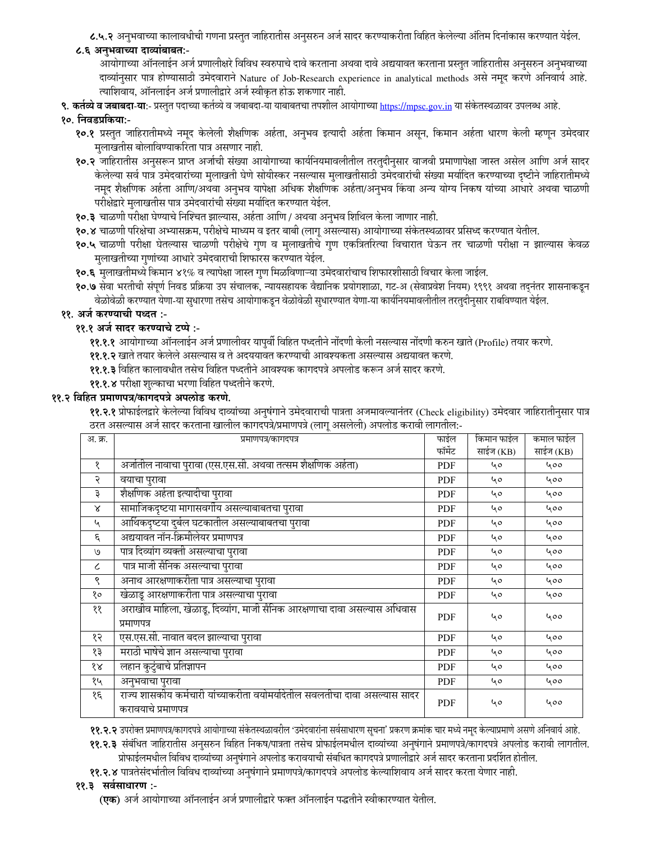८.५.२ अनुभवाच्या कालावधीची गणना प्रस्तुत जाहिरातीस अनुसरुन अर्ज सादर करण्याकरीता विहित केलेल्या अंतिम दिनांकास करण्यात येईल.

# ८.६ अनुभवाच्या दाव्यांबाबत:-

आयोगाच्या ऑनलाईन अर्ज प्रणालीक्षरे विविध स्वरुपाचे दावे करताना अथवा दावे अद्ययावत करताना प्रस्तुत जाहिरातीस अनुसरुन अनुभवाच्या दाव्यांनुसार पात्र होण्यासाठी उमेदवाराने Nature of Job-Research experience in analytical methods असे नमूद करणे अनिवार्य आहे. त्याशिवाय, ऑनलाईन अर्ज प्रणालीद्वारे अर्ज स्वीकृत होऊ शकणार नाही.

९. कर्तव्ये व जबाबदा-या:- प्रस्तुत पदाच्या कर्तव्ये व जबाबदा-या याबाबतचा तपशील आयोगाच्या https://mpsc.gov.in या संकेतस्थळावर उपलब्ध आहे.

# १०. निवडप्रकिया:-

- १०.१ प्रस्तुत जाहिरातीमध्ये नमूद केलेली शैक्षणिक अर्हता, अनुभव इत्यादी अर्हता किमान असून, किमान अर्हता धारण केली म्हणून उमेदवार मुलाखतीस बोलाविण्याकरिता पात्र असणार नाही.
- १०.२ जाहिरातीस अनुसरून प्राप्त अर्जाची संख्या आयोगाच्या कार्यनियमावलीतील तरतुदीनुसार वाजवी प्रमाणापेक्षा जास्त असेल आणि अर्ज सादर केलेल्या सर्व पात्र उमेदवारांच्या मुलाखती घेणे सोयीस्कर नसल्यास मुलाखतीसाठी उमेदवारांची संख्या मर्यादित करण्याच्या दृष्टीने जाहिरातीमध्ये नमूद शैक्षणिक अर्हता आणि/अथवा अनुभव यापेक्षा अधिक शैक्षणिक अर्हता/अनुभव किंवा अन्य योग्य निकष यांच्या आधारे अथवा चाळणी परीक्षेद्वारे मुलाखतीस पात्र उमेदवारांची संख्या मर्यादित करण्यात येईल.
- १०.३ चाळणी परीक्षा घेण्याचे निश्चित झाल्यास, अर्हता आणि / अथवा अनुभव शिथिल केला जाणार नाही.
- १०.४ चाळणी परिक्षेचा अभ्यासक्रम, परीक्षेचे माध्यम व इतर बाबी (लागू असल्यास) आयोगाच्या संकेतस्थळावर प्रसिध्द करण्यात येतील.
- १०.५ चाळणी परीक्षा घेतल्यास चाळणी परीक्षेचे गुण व मुलाखतीचे गुण एकत्रितरित्या विचारात घेऊन तर चाळणी परीक्षा न झाल्यास केवळ मुलाखतीच्या गुणांच्या आधारे उमेदवाराची शिफारस करण्यात येईल.
- १०.६ मुलाखतीमध्ये किमान ४१% व त्यापेक्षा जास्त गुण मिळविणाऱ्या उमेदवारांचाच शिफारशीसाठी विचार केला जाईल.
- १०.७ सेवा भरतीची संपूर्ण निवड प्रक्रिया उप संचालक, न्यायसहायक वैद्यानिक प्रयोगशाळा, गट-अ (सेवाप्रवेश नियम) १९९१ अथवा तद्नंतर शासनाकडून वेळोवेळी करण्यात येणा-या सुधारणा तसेच आयोगाकडून वेळोवेळी सुधारण्यात येणा-या कार्यनियमावलीतील तरतुदीनुसार राबविण्यात येईल.

## ११. अर्ज करण्याची पध्दत :-

## ११.१ अर्ज सादर करण्याचे टप्पे :-

- ११.१.१ आयोगाच्या ऑनलाईन अर्ज प्रणालीवर यापुर्वी विहित पध्दतीने नोंदणी केली नसल्यास नोंदणी करुन खाते (Profile) तयार करणे.
- ११.१.२ खाते तयार केलेले असल्यास व ते अदययावत करण्याची आवश्यकता असल्यास अद्ययावत करणे.
- ११.१.३ विहित कालावधीत तसेच विहित पध्दतीने आवश्यक कागदपत्रे अपलोड करून अर्ज सादर करणे.
- ११.१.४ परीक्षा शुल्काचा भरणा विहित पध्दतीने करणे.

### ११.२ विहित प्रमाणपत्र/कागदपत्रे अपलोड करणे.

११.२.१ प्रोफाईलद्वारे केलेल्या विविध दाव्यांच्या अनुषंगाने उमेदवाराची पात्रता अजमावल्यानंतर (Check eligibility) उमेदवार जाहिरातीनुसार पात्र ठरत असल्यास अर्ज सादर करताना खालील कागदपत्रे/प्रमाणपत्रे (लागू असलेली) अपलोड करावी लागतील:-

| अ. क्र.      | प्रमाणपत्र/कागदपत्र                                                                               | फाईल       | किमान फाईल | कमाल फाईल |
|--------------|---------------------------------------------------------------------------------------------------|------------|------------|-----------|
|              |                                                                                                   | फॉर्मेट    | साईज (KB)  | साईज (KB) |
| १            | अर्जातील नावाचा पुरावा (एस.एस.सी. अथवा तत्सम शैक्षणिक अर्हता)                                     | PDF        | 40         | 400       |
| २            | वयाचा पुरावा                                                                                      | PDF        | 40         | 400       |
| ३            | शैक्षणिक अर्हता इत्यादीचा पुरावा                                                                  | <b>PDF</b> | 40         | 400       |
| $\mathsf{x}$ | सामाजिकदृष्टया मागासवर्गीय असल्याबाबतचा पुरावा                                                    | <b>PDF</b> | 40         | 400       |
| ५            | आर्थिकदृष्टया दुर्बल घटकातील असल्याबाबतचा पुरावा                                                  | <b>PDF</b> | 40         | 400       |
| ٤            | अद्ययावत नॉन-क्रिमीलेयर प्रमाणपत्र                                                                | <b>PDF</b> | 40         | 400       |
| U            | पात्र दिव्यांग व्यक्ती असल्याचा पुरावा                                                            | PDF        | 40         | 400       |
| ८            | पात्र माजी सैनिक असल्याचा पुरावा                                                                  | PDF        | 40         | 400       |
| ९            | अनाथ आरक्षणाकरीता पात्र असल्याचा पुरावा                                                           | <b>PDF</b> | 40         | 400       |
| १०           | खेळाडू आरक्षणाकरीता पात्र असल्याचा पुरावा                                                         | PDF        | 40         | 400       |
| ११           | अराखीव माहिला, खेळाडू, दिव्यांग, माजी सैनिक आरक्षणाचा दावा असल्यास अधिवास<br>प्रमाणपत्र           | <b>PDF</b> | 40         | 400       |
| १२           | एस.एस.सी. नावात बदल झाल्याचा पुरावा                                                               | PDF        | 40         | 400       |
| १३           | मराठी भाषेचे ज्ञान असल्याचा पुरावा                                                                | PDF        | 40         | 400       |
| १४           | लहान कुटुंबाचे प्रतिज्ञापन                                                                        | PDF        | 40         | 400       |
| १५           | अनुभवाचा पुरावा                                                                                   | <b>PDF</b> | 40         | ५००       |
| १६           | राज्य शासकीय कर्मचारी यांच्याकरीता वयोमर्यादेतील सवलतीचा दावा असल्यास सादर<br>करावयाचे प्रमाणपत्र | <b>PDF</b> | ५०         | 400       |

११.२.२ उपरोक्त प्रमाणपत्र/कागदपत्रे आयोगाच्या संकेतस्थळावरील 'उमेदवारांना सर्वसाधारण सूचना' प्रकरण क्रमांक चार मध्ये नमूद केल्याप्रमाणे असणे अनिवार्य आहे.

- ११.२.३ संबंधित जाहिरातीस अनुसरुन विहित निकष/पात्रता तसेच प्रोफाईलमधील दाव्यांच्या अनुषंगाने प्रमाणपत्रे/कागदपत्रे अपलोड करावी लागतील. प्रोफाईलमधील विविध दाव्यांच्या अनुषंगाने अपलोड करावयाची संबधित कागदपत्रे प्रणालीद्वारे अर्ज सादर करताना प्रदर्शित होतील.
- ११.२.४ पात्रतेसंदर्भातील विविध दाव्यांच्या अनुषंगाने प्रमाणपत्रे/कागदपत्रे अपलोड केल्याशिवाय अर्ज सादर करता येणार नाही.

# ११.३ सर्वसाधारण :-

**(एक)** अर्ज आयोगाच्या ऑनलाईन अर्ज प्रणालीद्वारे फक्त ऑनलाईन पद्धतीने स्वीकारण्यात येतील.